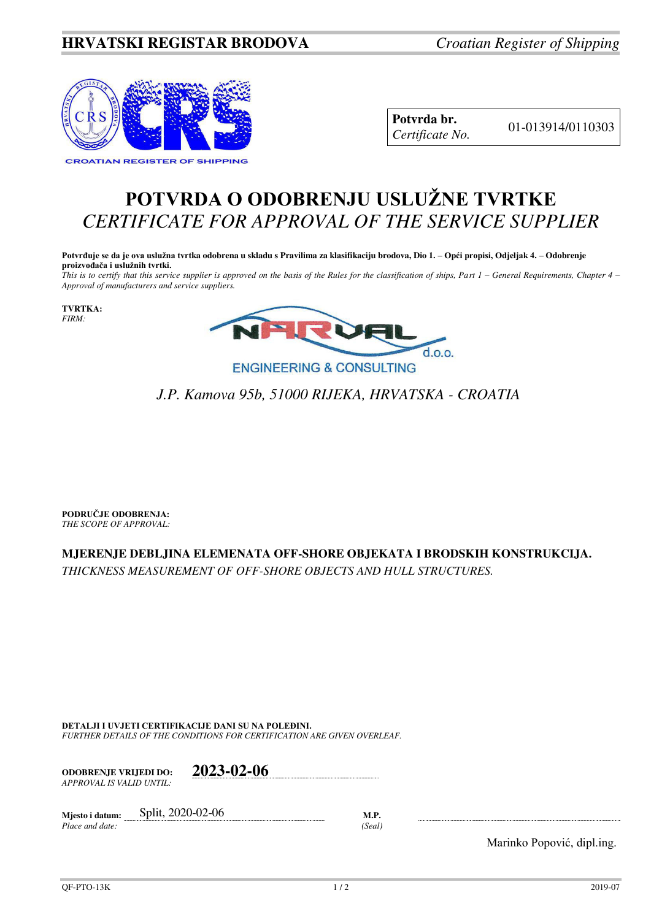## **HRVATSKI REGISTAR BRODOVA** *Croatian Register of Shipping*



**Potvrda br.** 01-013914/0110303 *Certificate No.* 

## **POTVRDA O ODOBRENJU USLUŽNE TVRTKE** *CERTIFICATE FOR APPROVAL OF THE SERVICE SUPPLIER*

**Potvrđuje se da je ova uslužna tvrtka odobrena u skladu s Pravilima za klasifikaciju brodova, Dio 1. – Opći propisi, Odjeljak 4. – Odobrenje proizvođača i uslužnih tvrtki.**

*This is to certify that this service supplier is approved on the basis of the Rules for the classification of ships, Part 1 – General Requirements, Chapter 4 – Approval of manufacturers and service suppliers.* 

**TVRTKA:** *FIRM:*



## *J.P. Kamova 95b, 51000 RIJEKA, HRVATSKA - CROATIA*

**PODRUČJE ODOBRENJA:** *THE SCOPE OF APPROVAL:* 

## **MJERENJE DEBLJINA ELEMENATA OFF-SHORE OBJEKATA I BRODSKIH KONSTRUKCIJA.**

*THICKNESS MEASUREMENT OF OFF-SHORE OBJECTS AND HULL STRUCTURES.*

**DETALJI I UVJETI CERTIFIKACIJE DANI SU NA POLEĐINI.** *FURTHER DETAILS OF THE CONDITIONS FOR CERTIFICATION ARE GIVEN OVERLEAF.* 

**ODOBRENJE VRIJEDI DO: 2023-02-06** *APPROVAL IS VALID UNTIL:*

**Mjesto i datum:** Split, 2020-02-06 **M.P.**  *Place and date: (Seal)* 

Marinko Popović, dipl.ing.